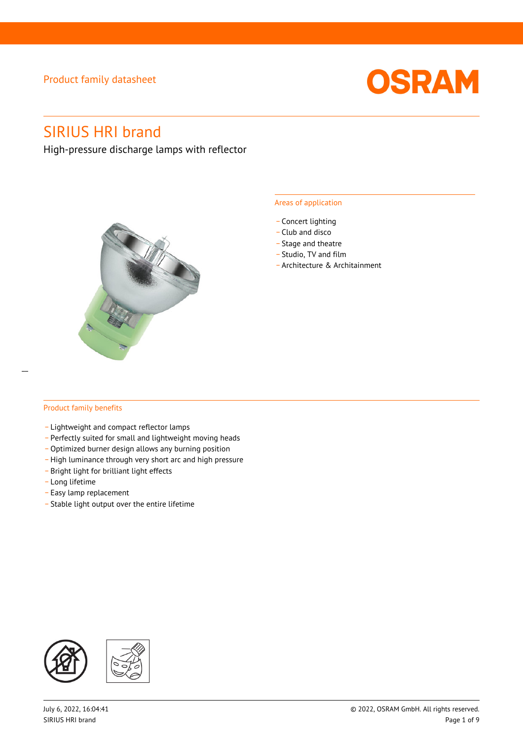

# SIRIUS HRI brand

High-pressure discharge lamps with reflector



#### Areas of application

- Concert lighting
- \_ Club and disco
- Stage and theatre
- \_ Studio, TV and film
- \_ Architecture & Architainment

#### Product family benefits

- \_ Lightweight and compact reflector lamps
- \_ Perfectly suited for small and lightweight moving heads
- Optimized burner design allows any burning position
- High luminance through very short arc and high pressure
- \_ Bright light for brilliant light effects
- \_ Long lifetime
- \_ Easy lamp replacement
- \_ Stable light output over the entire lifetime

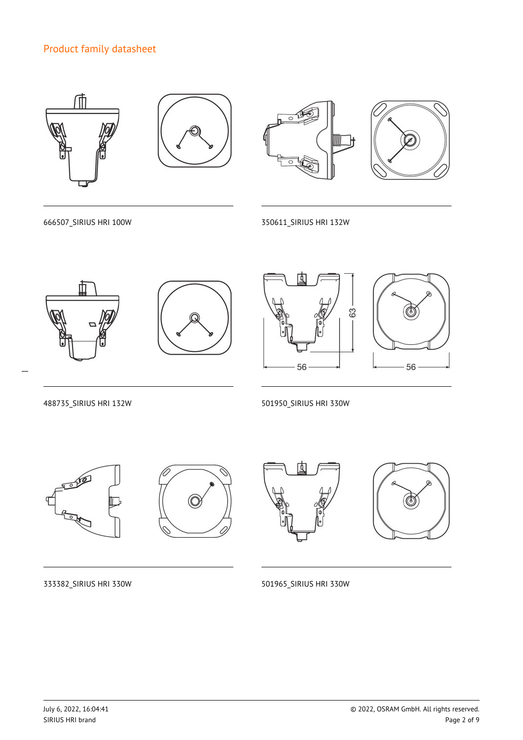

666507\_SIRIUS HRI 100W 350611\_SIRIUS HRI 132W



 $\overline{a}$ 







488735\_SIRIUS HRI 132W 501950\_SIRIUS HRI 330W









333382\_SIRIUS HRI 330W 501965\_SIRIUS HRI 330W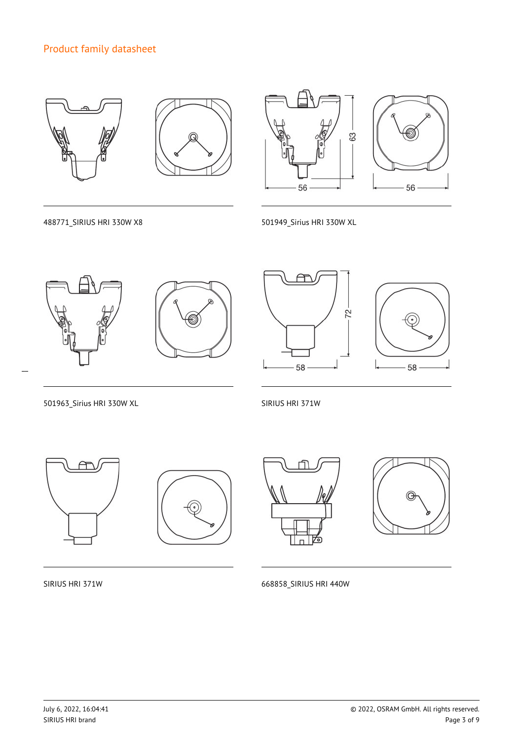



488771\_SIRIUS HRI 330W X8 501949\_Sirius HRI 330W XL



 $\overline{a}$ 







501963\_Sirius HRI 330W XL SIRIUS HRI 371W



SIRIUS HRI 371W 668858\_SIRIUS HRI 440W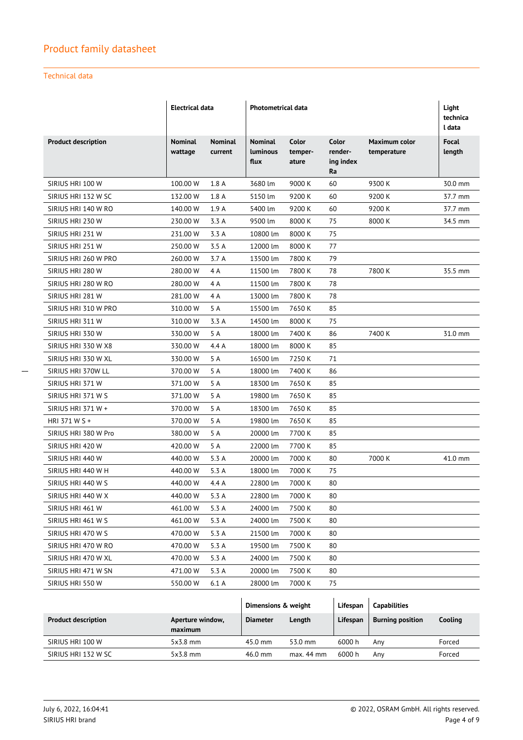#### Technical data

|                            | <b>Electrical data</b>    |                           | Photometrical data                        |                           |                                            |                              | Light<br>technica<br>l data |
|----------------------------|---------------------------|---------------------------|-------------------------------------------|---------------------------|--------------------------------------------|------------------------------|-----------------------------|
| <b>Product description</b> | <b>Nominal</b><br>wattage | <b>Nominal</b><br>current | <b>Nominal</b><br><b>Luminous</b><br>flux | Color<br>temper-<br>ature | <b>Color</b><br>render-<br>ing index<br>Ra | Maximum color<br>temperature | Focal<br>length             |
| SIRIUS HRI 100 W           | 100.00 W                  | 1.8A                      | 3680 lm                                   | 9000 K                    | 60                                         | 9300 K                       | 30.0 mm                     |
| SIRIUS HRI 132 W SC        | 132.00 W                  | 1.8A                      | 5150 lm                                   | 9200 K                    | 60                                         | 9200 K                       | 37.7 mm                     |
| SIRIUS HRI 140 W RO        | 140.00 W                  | 1.9A                      | 5400 lm                                   | 9200 K                    | 60                                         | 9200 K                       | 37.7 mm                     |
| SIRIUS HRI 230 W           | 230.00 W                  | 3.3 A                     | 9500 lm                                   | 8000 K                    | 75                                         | 8000 K                       | 34.5 mm                     |
| SIRIUS HRI 231 W           | 231.00 W                  | 3.3A                      | 10800 lm                                  | 8000 K                    | 75                                         |                              |                             |
| SIRIUS HRI 251 W           | 250.00 W                  | 3.5 A                     | 12000 lm                                  | 8000 K                    | 77                                         |                              |                             |
| SIRIUS HRI 260 W PRO       | 260.00 W                  | 3.7 A                     | 13500 lm                                  | 7800 K                    | 79                                         |                              |                             |
| SIRIUS HRI 280 W           | 280.00 W                  | 4 A                       | 11500 lm                                  | 7800 K                    | 78                                         | 7800 K                       | 35.5 mm                     |
| SIRIUS HRI 280 W RO        | 280.00 W                  | 4A                        | 11500 lm                                  | 7800 K                    | 78                                         |                              |                             |
| SIRIUS HRI 281 W           | 281.00 W                  | 4A                        | 13000 lm                                  | 7800 K                    | 78                                         |                              |                             |
| SIRIUS HRI 310 W PRO       | 310.00 W                  | 5 A                       | 15500 lm                                  | 7650K                     | 85                                         |                              |                             |
| SIRIUS HRI 311 W           | 310.00 W                  | 3.3A                      | 14500 lm                                  | 8000 K                    | 75                                         |                              |                             |
| SIRIUS HRI 330 W           | 330.00 W                  | 5 A                       | 18000 lm                                  | 7400 K                    | 86                                         | 7400 K                       | 31.0 mm                     |
| SIRIUS HRI 330 W X8        | 330.00 W                  | 4.4A                      | 18000 lm                                  | 8000 K                    | 85                                         |                              |                             |
| SIRIUS HRI 330 W XL        | 330.00 W                  | 5 A                       | 16500 lm                                  | 7250K                     | 71                                         |                              |                             |
| SIRIUS HRI 370W LL         | 370.00 W                  | 5 A                       | 18000 lm                                  | 7400 K                    | 86                                         |                              |                             |
| SIRIUS HRI 371 W           | 371.00 W                  | 5 A                       | 18300 lm                                  | 7650K                     | 85                                         |                              |                             |
| SIRIUS HRI 371 W S         | 371.00 W                  | 5 A                       | 19800 lm                                  | 7650K                     | 85                                         |                              |                             |
| SIRIUS HRI 371 W +         | 370.00 W                  | 5 A                       | 18300 lm                                  | 7650K                     | 85                                         |                              |                             |
| HRI 371 W S +              | 370.00 W                  | 5 A                       | 19800 lm                                  | 7650K                     | 85                                         |                              |                             |
| SIRIUS HRI 380 W Pro       | 380.00 W                  | 5 A                       | 20000 lm                                  | 7700 K                    | 85                                         |                              |                             |
| SIRIUS HRI 420 W           | 420.00 W                  | 5 A                       | 22000 lm                                  | 7700 K                    | 85                                         |                              |                             |
| SIRIUS HRI 440 W           | 440.00 W                  | 5.3 A                     | 20000 lm                                  | 7000 K                    | 80                                         | 7000 K                       | 41.0 mm                     |
| SIRIUS HRI 440 W H         | 440.00 W                  | 5.3A                      | 18000 lm                                  | 7000 K                    | 75                                         |                              |                             |
| SIRIUS HRI 440 W S         | 440.00 W                  | 4.4 A                     | 22800 lm                                  | 7000 K                    | 80                                         |                              |                             |
| SIRIUS HRI 440 W X         | 440.00 W                  | 5.3 A                     | 22800 lm                                  | 7000 K                    | 80                                         |                              |                             |
| SIRIUS HRI 461 W           | 461.00 W                  | 5.3 A                     | 24000 lm                                  | 7500 K                    | 80                                         |                              |                             |
| SIRIUS HRI 461 W S         | 461.00 W                  | 5.3 A                     | 24000 lm                                  | 7500 K                    | 80                                         |                              |                             |
| SIRIUS HRI 470 W S         | 470.00 W                  | 5.3 A                     | 21500 lm                                  | 7000 K                    | 80                                         |                              |                             |
| SIRIUS HRI 470 W RO        | 470.00 W                  | 5.3 A                     | 19500 lm                                  | 7500 K                    | 80                                         |                              |                             |
| SIRIUS HRI 470 W XL        | 470.00 W                  | 5.3 A                     | 24000 lm                                  | 7500 K                    | 80                                         |                              |                             |
| SIRIUS HRI 471 W SN        | 471.00 W                  | 5.3 A                     | 20000 lm                                  | 7500 K                    | 80                                         |                              |                             |
| SIRIUS HRI 550 W           | 550.00 W                  | 6.1 A                     | 28000 lm                                  | 7000 K                    | 75                                         |                              |                             |
|                            |                           |                           | Dimensions & weight                       |                           | Lifespan                                   | <b>Capabilities</b>          |                             |

|                            |                             | Dimensions & weight |              | Lifespan | <b>Capabilities</b>     |         |
|----------------------------|-----------------------------|---------------------|--------------|----------|-------------------------|---------|
| <b>Product description</b> | Aperture window,<br>maximum | <b>Diameter</b>     | Length       | Lifespan | <b>Burning position</b> | Cooling |
| SIRIUS HRI 100 W           | $5x3.8$ mm                  | $45.0 \text{ mm}$   | 53.0 mm      | 6000 h   | Anv                     | Forced  |
| SIRIUS HRI 132 W SC        | $5x3.8$ mm                  | $46.0$ mm           | $max. 44$ mm | 6000 h   | Anv                     | Forced  |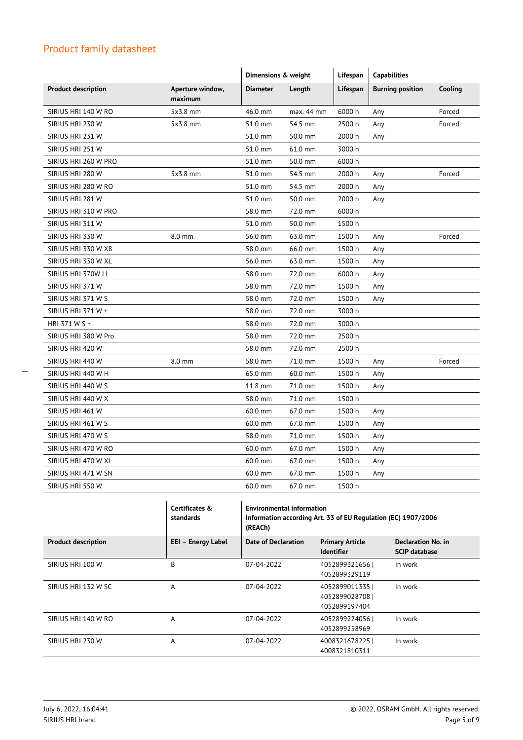|                            |                             | Dimensions & weight |            | Lifespan | <b>Capabilities</b>     |         |
|----------------------------|-----------------------------|---------------------|------------|----------|-------------------------|---------|
| <b>Product description</b> | Aperture window,<br>maximum | <b>Diameter</b>     | Length     | Lifespan | <b>Burning position</b> | Cooling |
| SIRIUS HRI 140 W RO        | $5x3.8$ mm                  | 46.0 mm             | max. 44 mm | 6000h    | Any                     | Forced  |
| SIRIUS HRI 230 W           | 5x3.8 mm                    | 51.0 mm             | 54.5 mm    | 2500 h   | Any                     | Forced  |
| SIRIUS HRI 231 W           |                             | 51.0 mm             | 50.0 mm    | 2000 h   | Any                     |         |
| SIRIUS HRI 251 W           |                             | 51.0 mm             | 61.0 mm    | 3000 h   |                         |         |
| SIRIUS HRI 260 W PRO       |                             | 51.0 mm             | 50.0 mm    | 6000 h   |                         |         |
| SIRIUS HRI 280 W           | 5x3.8 mm                    | 51.0 mm             | 54.5 mm    | 2000 h   | Any                     | Forced  |
| SIRIUS HRI 280 W RO        |                             | 51.0 mm             | 54.5 mm    | 2000 h   | Any                     |         |
| SIRIUS HRI 281 W           |                             | 51.0 mm             | 50.0 mm    | 2000 h   | Any                     |         |
| SIRIUS HRI 310 W PRO       |                             | 58.0 mm             | 72.0 mm    | 6000h    |                         |         |
| SIRIUS HRI 311 W           |                             | 51.0 mm             | 50.0 mm    | 1500h    |                         |         |
| SIRIUS HRI 330 W           | 8.0 mm                      | 56.0 mm             | 63.0 mm    | 1500 h   | Any                     | Forced  |
| SIRIUS HRI 330 W X8        |                             | 58.0 mm             | 66.0 mm    | 1500 h   | Any                     |         |
| SIRIUS HRI 330 W XL        |                             | 56.0 mm             | 63.0 mm    | 1500h    | Any                     |         |
| SIRIUS HRI 370W LL         |                             | 58.0 mm             | 72.0 mm    | 6000h    | Any                     |         |
| SIRIUS HRI 371 W           |                             | 58.0 mm             | 72.0 mm    | 1500 h   | Any                     |         |
| SIRIUS HRI 371 W S         |                             | 58.0 mm             | 72.0 mm    | 1500h    | Any                     |         |
| SIRIUS HRI 371 W +         |                             | 58.0 mm             | 72.0 mm    | 3000 h   |                         |         |
| HRI 371 W S +              |                             | 58.0 mm             | 72.0 mm    | 3000 h   |                         |         |
| SIRIUS HRI 380 W Pro       |                             | 58.0 mm             | 72.0 mm    | 2500 h   |                         |         |
| SIRIUS HRI 420 W           |                             | 58.0 mm             | 72.0 mm    | 2500h    |                         |         |
| SIRIUS HRI 440 W           | 8.0 mm                      | 58.0 mm             | 71.0 mm    | 1500 h   | Any                     | Forced  |
| SIRIUS HRI 440 W H         |                             | 65.0 mm             | 60.0 mm    | 1500 h   | Any                     |         |
| SIRIUS HRI 440 W S         |                             | 11.8 mm             | 71.0 mm    | 1500 h   | Any                     |         |
| SIRIUS HRI 440 W X         |                             | 58.0 mm             | 71.0 mm    | 1500h    |                         |         |
| SIRIUS HRI 461 W           |                             | 60.0 mm             | 67.0 mm    | 1500 h   | Any                     |         |
| SIRIUS HRI 461 W S         |                             | 60.0 mm             | 67.0 mm    | 1500 h   | Any                     |         |
| SIRIUS HRI 470 W S         |                             | 58.0 mm             | 71.0 mm    | 1500h    | Any                     |         |
| SIRIUS HRI 470 W RO        |                             | 60.0 mm             | 67.0 mm    | 1500 h   | Any                     |         |
| SIRIUS HRI 470 W XL        |                             | 60.0 mm             | 67.0 mm    | 1500 h   | Any                     |         |
| SIRIUS HRI 471 W SN        |                             | 60.0 mm             | 67.0 mm    | 1500h    | Any                     |         |
| SIRIUS HRI 550 W           |                             | 60.0 mm             | 67.0 mm    | 1500h    |                         |         |
|                            |                             |                     |            |          |                         |         |

|                            | Certificates &<br>standards | <b>Environmental information</b><br>Information according Art. 33 of EU Regulation (EC) 1907/2006<br>(REACh) |                                                 |                                                   |
|----------------------------|-----------------------------|--------------------------------------------------------------------------------------------------------------|-------------------------------------------------|---------------------------------------------------|
| <b>Product description</b> | EEI - Energy Label          | Date of Declaration                                                                                          | <b>Primary Article</b><br><b>Identifier</b>     | <b>Declaration No. in</b><br><b>SCIP database</b> |
| SIRIUS HRI 100 W           | B                           | 07-04-2022                                                                                                   | 4052899321656<br>4052899329119                  | In work                                           |
| SIRIUS HRI 132 W SC        | A                           | 07-04-2022                                                                                                   | 4052899011335<br>4052899028708<br>4052899197404 | In work                                           |
| SIRIUS HRI 140 W RO        | A                           | 07-04-2022                                                                                                   | 40528992240561<br>4052899258969                 | In work                                           |
| SIRIUS HRI 230 W           | A                           | 07-04-2022                                                                                                   | 4008321678225<br>4008321810311                  | In work                                           |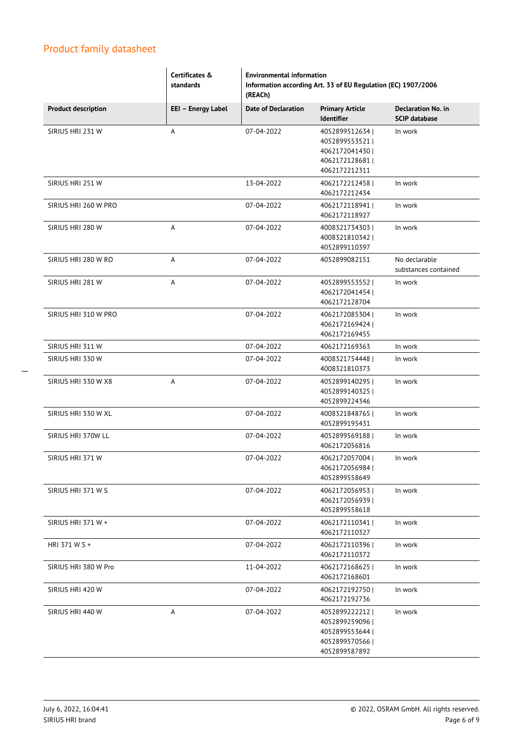|                            | Certificates &<br>standards | <b>Environmental information</b><br>Information according Art. 33 of EU Regulation (EC) 1907/2006<br>(REACh) |                                                                                        |                                                   |
|----------------------------|-----------------------------|--------------------------------------------------------------------------------------------------------------|----------------------------------------------------------------------------------------|---------------------------------------------------|
| <b>Product description</b> | EEI - Energy Label          | <b>Date of Declaration</b>                                                                                   | <b>Primary Article</b><br>Identifier                                                   | <b>Declaration No. in</b><br><b>SCIP database</b> |
| SIRIUS HRI 231 W           | A                           | 07-04-2022                                                                                                   | 4052899512634<br>4052899553521  <br>40621720414301<br>4062172128681  <br>4062172212311 | In work                                           |
| SIRIUS HRI 251 W           |                             | 13-04-2022                                                                                                   | 4062172212458<br>4062172212434                                                         | In work                                           |
| SIRIUS HRI 260 W PRO       |                             | 07-04-2022                                                                                                   | 4062172118941  <br>4062172118927                                                       | In work                                           |
| SIRIUS HRI 280 W           | A                           | 07-04-2022                                                                                                   | 4008321734303<br>4008321810342  <br>4052899110397                                      | In work                                           |
| SIRIUS HRI 280 W RO        | A                           | 07-04-2022                                                                                                   | 4052899082151                                                                          | No declarable<br>substances contained             |
| SIRIUS HRI 281 W           | A                           | 07-04-2022                                                                                                   | 4052899553552<br>4062172041454<br>4062172128704                                        | In work                                           |
| SIRIUS HRI 310 W PRO       |                             | 07-04-2022                                                                                                   | 4062172085304<br>4062172169424  <br>4062172169455                                      | In work                                           |
| SIRIUS HRI 311 W           |                             | 07-04-2022                                                                                                   | 4062172169363                                                                          | In work                                           |
| SIRIUS HRI 330 W           |                             | 07-04-2022                                                                                                   | 4008321754448  <br>4008321810373                                                       | In work                                           |
| SIRIUS HRI 330 W X8        | Α                           | 07-04-2022                                                                                                   | 4052899140295<br>4052899140325  <br>4052899224346                                      | In work                                           |
| SIRIUS HRI 330 W XL        |                             | 07-04-2022                                                                                                   | 40083218487651<br>4052899195431                                                        | In work                                           |
| SIRIUS HRI 370W LL         |                             | 07-04-2022                                                                                                   | 4052899569188  <br>4062172056816                                                       | In work                                           |
| SIRIUS HRI 371 W           |                             | 07-04-2022                                                                                                   | 4062172057004  <br>4062172056984<br>4052899558649                                      | In work                                           |
| SIRIUS HRI 371 W S         |                             | 07-04-2022                                                                                                   | 40621720569531<br>4062172056939  <br>4052899558618                                     | In work                                           |
| SIRIUS HRI 371 W +         |                             | 07-04-2022                                                                                                   | 4062172110341  <br>4062172110327                                                       | In work                                           |
| HRI 371 W S +              |                             | 07-04-2022                                                                                                   | 4062172110396<br>4062172110372                                                         | In work                                           |
| SIRIUS HRI 380 W Pro       |                             | 11-04-2022                                                                                                   | 4062172168625  <br>4062172168601                                                       | In work                                           |
| SIRIUS HRI 420 W           |                             | 07-04-2022                                                                                                   | 4062172192750<br>4062172192736                                                         | In work                                           |
| SIRIUS HRI 440 W           | A                           | 07-04-2022                                                                                                   | 4052899222212<br>4052899259096  <br>4052899553644<br>4052899570566  <br>4052899587892  | In work                                           |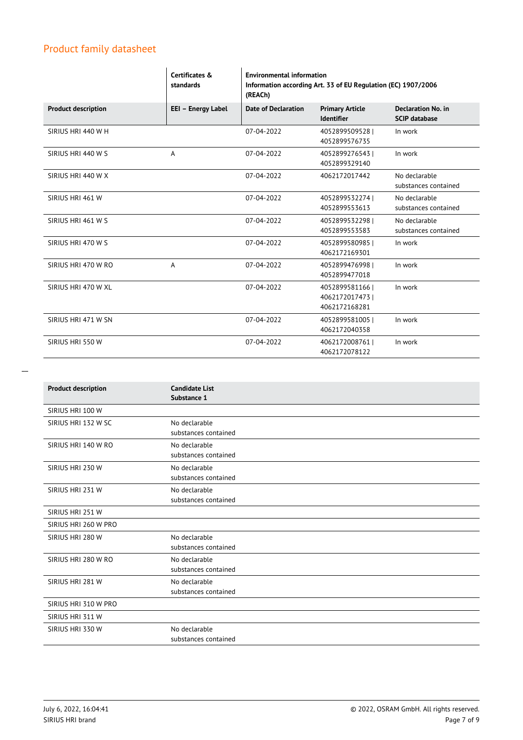|                            | Certificates &<br>standards | <b>Environmental information</b><br>Information according Art. 33 of EU Regulation (EC) 1907/2006<br>(REACh) |                                                   |                                                   |
|----------------------------|-----------------------------|--------------------------------------------------------------------------------------------------------------|---------------------------------------------------|---------------------------------------------------|
| <b>Product description</b> | EEI - Energy Label          | <b>Date of Declaration</b>                                                                                   | <b>Primary Article</b><br><b>Identifier</b>       | <b>Declaration No. in</b><br><b>SCIP database</b> |
| SIRIUS HRI 440 W H         |                             | 07-04-2022                                                                                                   | 40528995095281<br>4052899576735                   | In work                                           |
| SIRIUS HRI 440 W S         | A                           | 07-04-2022                                                                                                   | 40528992765431<br>4052899329140                   | In work                                           |
| SIRIUS HRI 440 W X         |                             | 07-04-2022                                                                                                   | 4062172017442                                     | No declarable<br>substances contained             |
| SIRIUS HRI 461 W           |                             | 07-04-2022                                                                                                   | 40528995322741<br>4052899553613                   | No declarable<br>substances contained             |
| SIRIUS HRI 461 W S         |                             | 07-04-2022                                                                                                   | 4052899532298  <br>4052899553583                  | No declarable<br>substances contained             |
| SIRIUS HRI 470 W S         |                             | 07-04-2022                                                                                                   | 4052899580985  <br>4062172169301                  | In work                                           |
| SIRIUS HRI 470 W RO        | A                           | 07-04-2022                                                                                                   | 40528994769981<br>4052899477018                   | In work                                           |
| SIRIUS HRI 470 W XL        |                             | 07-04-2022                                                                                                   | 4052899581166<br>4062172017473  <br>4062172168281 | In work                                           |
| SIRIUS HRI 471 W SN        |                             | 07-04-2022                                                                                                   | 4052899581005<br>4062172040358                    | In work                                           |
| SIRIUS HRI 550 W           |                             | 07-04-2022                                                                                                   | 4062172008761  <br>4062172078122                  | In work                                           |

| <b>Product description</b> | <b>Candidate List</b><br>Substance 1  |
|----------------------------|---------------------------------------|
| SIRIUS HRI 100 W           |                                       |
| SIRIUS HRI 132 W SC        | No declarable<br>substances contained |
| SIRIUS HRI 140 W RO        | No declarable<br>substances contained |
| SIRIUS HRI 230 W           | No declarable<br>substances contained |
| SIRIUS HRI 231 W           | No declarable<br>substances contained |
| SIRIUS HRI 251 W           |                                       |
| SIRIUS HRI 260 W PRO       |                                       |
| SIRIUS HRI 280 W           | No declarable<br>substances contained |
| SIRIUS HRI 280 W RO        | No declarable<br>substances contained |
| SIRIUS HRI 281 W           | No declarable<br>substances contained |
| SIRIUS HRI 310 W PRO       |                                       |
| SIRIUS HRI 311 W           |                                       |
| SIRIUS HRI 330 W           | No declarable<br>substances contained |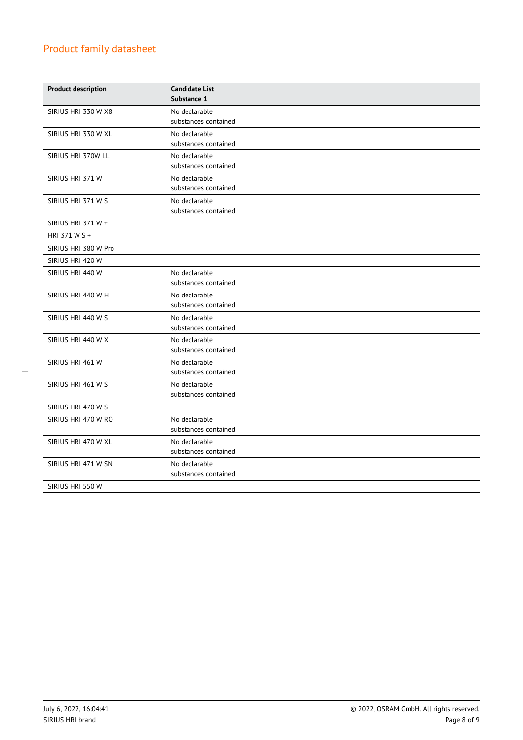| <b>Product description</b> | <b>Candidate List</b><br>Substance 1  |
|----------------------------|---------------------------------------|
| SIRIUS HRI 330 W X8        | No declarable<br>substances contained |
| SIRIUS HRI 330 W XL        | No declarable<br>substances contained |
| SIRIUS HRI 370W LL         | No declarable<br>substances contained |
| SIRIUS HRI 371 W           | No declarable<br>substances contained |
| SIRIUS HRI 371 W S         | No declarable<br>substances contained |
| SIRIUS HRI 371 W +         |                                       |
| HRI 371 W S +              |                                       |
| SIRIUS HRI 380 W Pro       |                                       |
| SIRIUS HRI 420 W           |                                       |
| SIRIUS HRI 440 W           | No declarable<br>substances contained |
| SIRIUS HRI 440 W H         | No declarable<br>substances contained |
| SIRIUS HRI 440 W S         | No declarable<br>substances contained |
| SIRIUS HRI 440 W X         | No declarable<br>substances contained |
| SIRIUS HRI 461 W           | No declarable<br>substances contained |
| SIRIUS HRI 461 W S         | No declarable<br>substances contained |
| SIRIUS HRI 470 W S         |                                       |
| SIRIUS HRI 470 W RO        | No declarable<br>substances contained |
| SIRIUS HRI 470 W XL        | No declarable<br>substances contained |
| SIRIUS HRI 471 W SN        | No declarable<br>substances contained |
| SIRIUS HRI 550 W           |                                       |